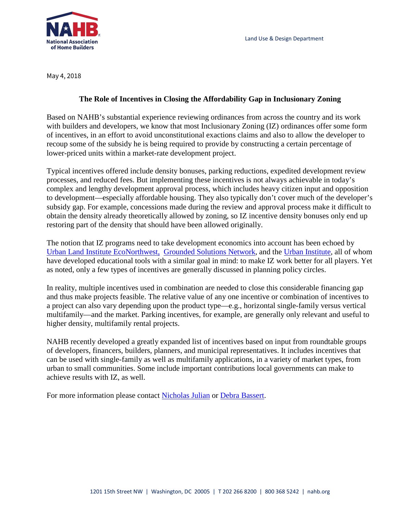

May 4, 2018

## **The Role of Incentives in Closing the Affordability Gap in Inclusionary Zoning**

Based on NAHB's substantial experience reviewing ordinances from across the country and its work with builders and developers, we know that most Inclusionary Zoning (IZ) ordinances offer some form of incentives, in an effort to avoid unconstitutional exactions claims and also to allow the developer to recoup some of the subsidy he is being required to provide by constructing a certain percentage of lower-priced units within a market-rate development project.

Typical incentives offered include density bonuses, parking reductions, expedited development review processes, and reduced fees. But implementing these incentives is not always achievable in today's complex and lengthy development approval process, which includes heavy citizen input and opposition to development—especially affordable housing. They also typically don't cover much of the developer's subsidy gap. For example, concessions made during the review and approval process make it difficult to obtain the density already theoretically allowed by zoning, so IZ incentive density bonuses only end up restoring part of the density that should have been allowed originally.

The notion that IZ programs need to take development economics into account has been echoed by [Urban Land Institute](http://uli.org/wp-content/uploads/ULI-Documents/Economics-of-Inclusionary-Zoning.pdf) EcoNorthwest, [Grounded Solutions Network,](http://mncalculator.inclusionary.net/) and the [Urban Institute,](http://apps.urban.org/features/cost-of-affordable-housing/) all of whom have developed educational tools with a similar goal in mind: to make IZ work better for all players. Yet as noted, only a few types of incentives are generally discussed in planning policy circles.

In reality, multiple incentives used in combination are needed to close this considerable financing gap and thus make projects feasible. The relative value of any one incentive or combination of incentives to a project can also vary depending upon the product type––e.g., horizontal single-family versus vertical multifamily––and the market. Parking incentives, for example, are generally only relevant and useful to higher density, multifamily rental projects.

NAHB recently developed a greatly expanded list of incentives based on input from roundtable groups of developers, financers, builders, planners, and municipal representatives. It includes incentives that can be used with single-family as well as multifamily applications, in a variety of market types, from urban to small communities. Some include important contributions local governments can make to achieve results with IZ, as well.

For more information please contact [Nicholas Julian](mailto:njulian@nahb.org) or [Debra Bassert.](mailto:dbassert@nahb.org)